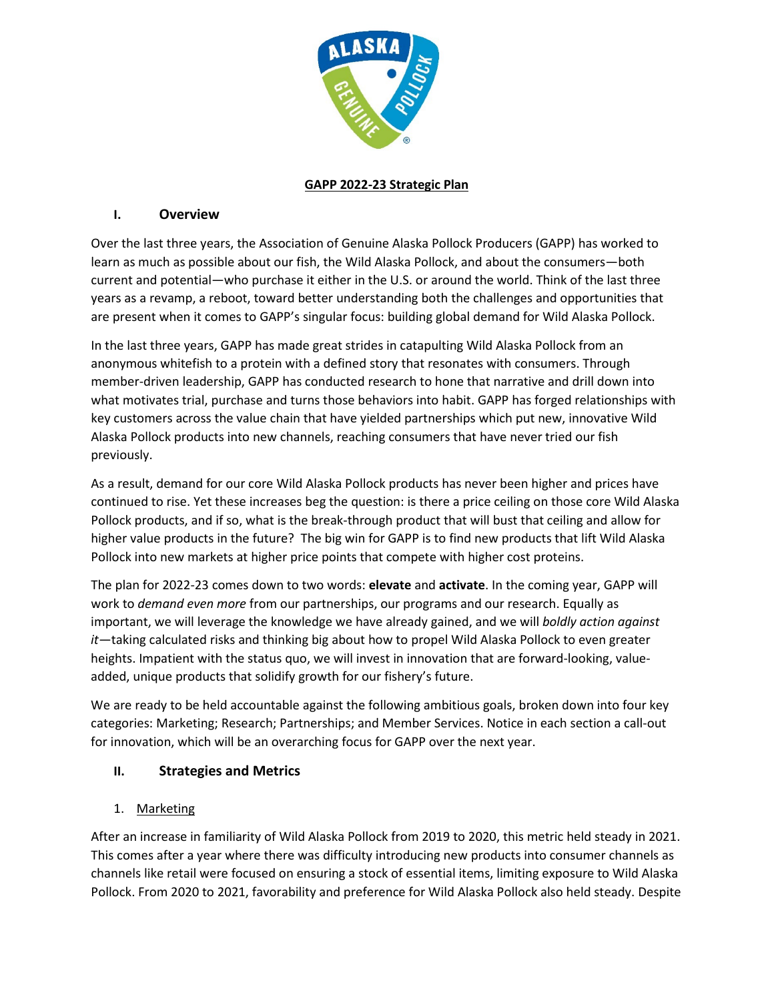

## **GAPP 2022-23 Strategic Plan**

## **I. Overview**

Over the last three years, the Association of Genuine Alaska Pollock Producers (GAPP) has worked to learn as much as possible about our fish, the Wild Alaska Pollock, and about the consumers—both current and potential—who purchase it either in the U.S. or around the world. Think of the last three years as a revamp, a reboot, toward better understanding both the challenges and opportunities that are present when it comes to GAPP's singular focus: building global demand for Wild Alaska Pollock.

In the last three years, GAPP has made great strides in catapulting Wild Alaska Pollock from an anonymous whitefish to a protein with a defined story that resonates with consumers. Through member-driven leadership, GAPP has conducted research to hone that narrative and drill down into what motivates trial, purchase and turns those behaviors into habit. GAPP has forged relationships with key customers across the value chain that have yielded partnerships which put new, innovative Wild Alaska Pollock products into new channels, reaching consumers that have never tried our fish previously.

As a result, demand for our core Wild Alaska Pollock products has never been higher and prices have continued to rise. Yet these increases beg the question: is there a price ceiling on those core Wild Alaska Pollock products, and if so, what is the break-through product that will bust that ceiling and allow for higher value products in the future? The big win for GAPP is to find new products that lift Wild Alaska Pollock into new markets at higher price points that compete with higher cost proteins.

The plan for 2022-23 comes down to two words: **elevate** and **activate**. In the coming year, GAPP will work to *demand even more* from our partnerships, our programs and our research. Equally as important, we will leverage the knowledge we have already gained, and we will *boldly action against it*—taking calculated risks and thinking big about how to propel Wild Alaska Pollock to even greater heights. Impatient with the status quo, we will invest in innovation that are forward-looking, valueadded, unique products that solidify growth for our fishery's future.

We are ready to be held accountable against the following ambitious goals, broken down into four key categories: Marketing; Research; Partnerships; and Member Services. Notice in each section a call-out for innovation, which will be an overarching focus for GAPP over the next year.

# **II. Strategies and Metrics**

## 1. Marketing

After an increase in familiarity of Wild Alaska Pollock from 2019 to 2020, this metric held steady in 2021. This comes after a year where there was difficulty introducing new products into consumer channels as channels like retail were focused on ensuring a stock of essential items, limiting exposure to Wild Alaska Pollock. From 2020 to 2021, favorability and preference for Wild Alaska Pollock also held steady. Despite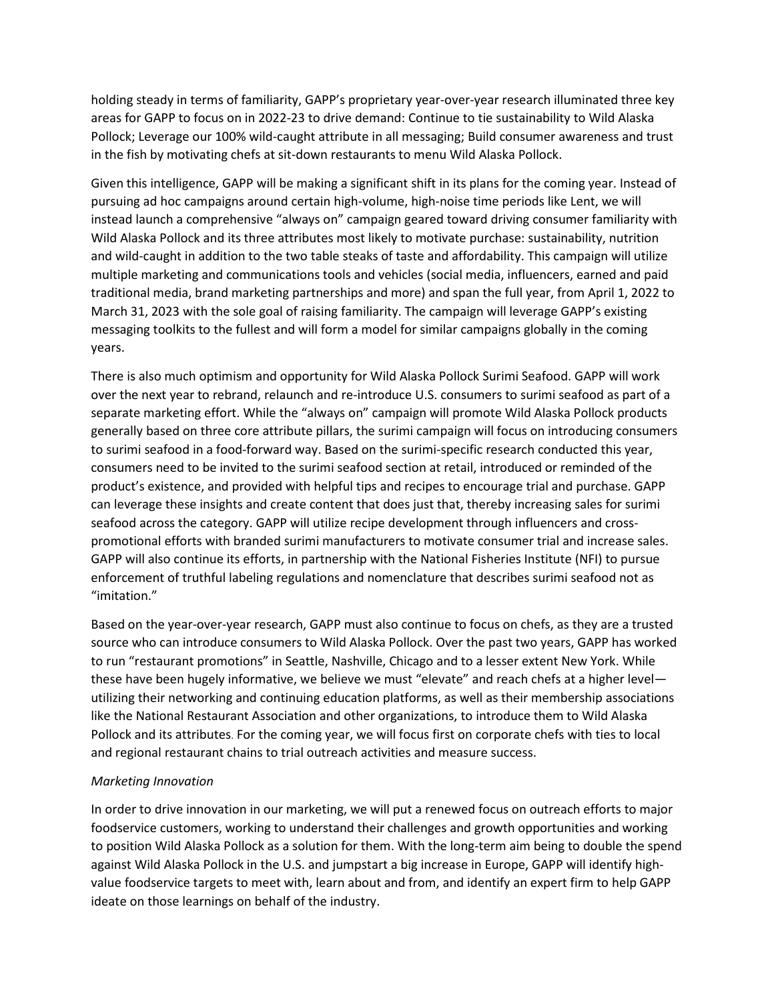holding steady in terms of familiarity, GAPP's proprietary year-over-year research illuminated three key areas for GAPP to focus on in 2022-23 to drive demand: Continue to tie sustainability to Wild Alaska Pollock; Leverage our 100% wild-caught attribute in all messaging; Build consumer awareness and trust in the fish by motivating chefs at sit-down restaurants to menu Wild Alaska Pollock.

Given this intelligence, GAPP will be making a significant shift in its plans for the coming year. Instead of pursuing ad hoc campaigns around certain high-volume, high-noise time periods like Lent, we will instead launch a comprehensive "always on" campaign geared toward driving consumer familiarity with Wild Alaska Pollock and its three attributes most likely to motivate purchase: sustainability, nutrition and wild-caught in addition to the two table steaks of taste and affordability. This campaign will utilize multiple marketing and communications tools and vehicles (social media, influencers, earned and paid traditional media, brand marketing partnerships and more) and span the full year, from April 1, 2022 to March 31, 2023 with the sole goal of raising familiarity. The campaign will leverage GAPP's existing messaging toolkits to the fullest and will form a model for similar campaigns globally in the coming years.

There is also much optimism and opportunity for Wild Alaska Pollock Surimi Seafood. GAPP will work over the next year to rebrand, relaunch and re-introduce U.S. consumers to surimi seafood as part of a separate marketing effort. While the "always on" campaign will promote Wild Alaska Pollock products generally based on three core attribute pillars, the surimi campaign will focus on introducing consumers to surimi seafood in a food-forward way. Based on the surimi-specific research conducted this year, consumers need to be invited to the surimi seafood section at retail, introduced or reminded of the product's existence, and provided with helpful tips and recipes to encourage trial and purchase. GAPP can leverage these insights and create content that does just that, thereby increasing sales for surimi seafood across the category. GAPP will utilize recipe development through influencers and crosspromotional efforts with branded surimi manufacturers to motivate consumer trial and increase sales. GAPP will also continue its efforts, in partnership with the National Fisheries Institute (NFI) to pursue enforcement of truthful labeling regulations and nomenclature that describes surimi seafood not as "imitation."

Based on the year-over-year research, GAPP must also continue to focus on chefs, as they are a trusted source who can introduce consumers to Wild Alaska Pollock. Over the past two years, GAPP has worked to run "restaurant promotions" in Seattle, Nashville, Chicago and to a lesser extent New York. While these have been hugely informative, we believe we must "elevate" and reach chefs at a higher level utilizing their networking and continuing education platforms, as well as their membership associations like the National Restaurant Association and other organizations, to introduce them to Wild Alaska Pollock and its attributes. For the coming year, we will focus first on corporate chefs with ties to local and regional restaurant chains to trial outreach activities and measure success.

#### *Marketing Innovation*

In order to drive innovation in our marketing, we will put a renewed focus on outreach efforts to major foodservice customers, working to understand their challenges and growth opportunities and working to position Wild Alaska Pollock as a solution for them. With the long-term aim being to double the spend against Wild Alaska Pollock in the U.S. and jumpstart a big increase in Europe, GAPP will identify highvalue foodservice targets to meet with, learn about and from, and identify an expert firm to help GAPP ideate on those learnings on behalf of the industry.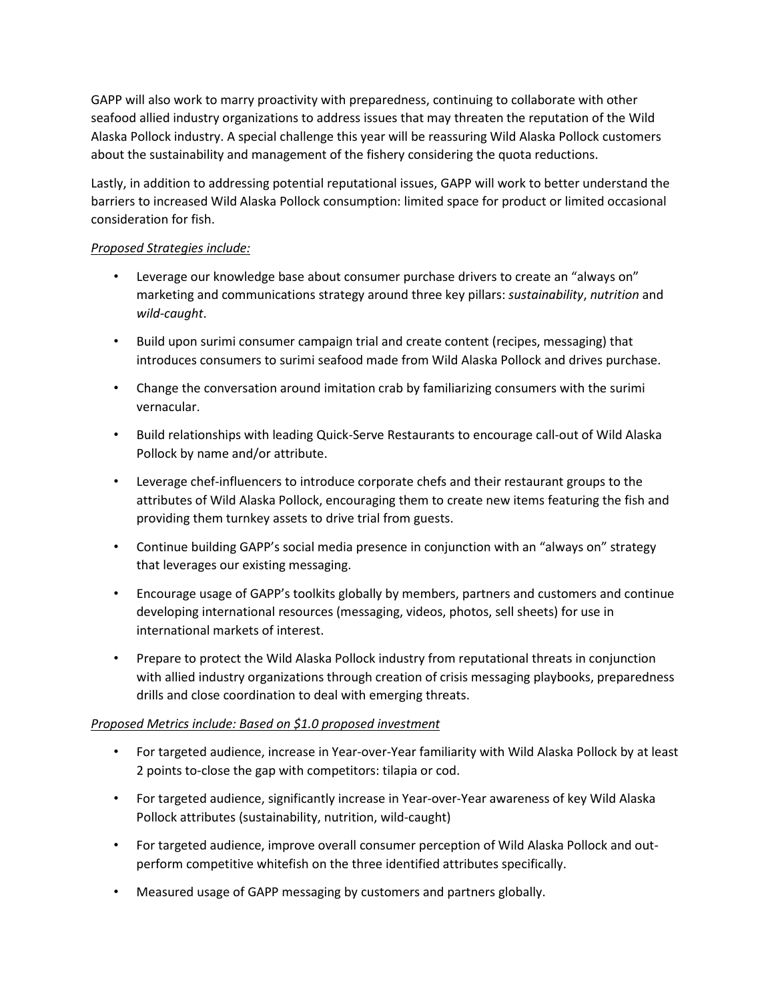GAPP will also work to marry proactivity with preparedness, continuing to collaborate with other seafood allied industry organizations to address issues that may threaten the reputation of the Wild Alaska Pollock industry. A special challenge this year will be reassuring Wild Alaska Pollock customers about the sustainability and management of the fishery considering the quota reductions.

Lastly, in addition to addressing potential reputational issues, GAPP will work to better understand the barriers to increased Wild Alaska Pollock consumption: limited space for product or limited occasional consideration for fish.

### *Proposed Strategies include:*

- Leverage our knowledge base about consumer purchase drivers to create an "always on" marketing and communications strategy around three key pillars: *sustainability*, *nutrition* and *wild-caught*.
- Build upon surimi consumer campaign trial and create content (recipes, messaging) that introduces consumers to surimi seafood made from Wild Alaska Pollock and drives purchase.
- Change the conversation around imitation crab by familiarizing consumers with the surimi vernacular.
- Build relationships with leading Quick-Serve Restaurants to encourage call-out of Wild Alaska Pollock by name and/or attribute.
- Leverage chef-influencers to introduce corporate chefs and their restaurant groups to the attributes of Wild Alaska Pollock, encouraging them to create new items featuring the fish and providing them turnkey assets to drive trial from guests.
- Continue building GAPP's social media presence in conjunction with an "always on" strategy that leverages our existing messaging.
- Encourage usage of GAPP's toolkits globally by members, partners and customers and continue developing international resources (messaging, videos, photos, sell sheets) for use in international markets of interest.
- Prepare to protect the Wild Alaska Pollock industry from reputational threats in conjunction with allied industry organizations through creation of crisis messaging playbooks, preparedness drills and close coordination to deal with emerging threats.

## *Proposed Metrics include: Based on \$1.0 proposed investment*

- For targeted audience, increase in Year-over-Year familiarity with Wild Alaska Pollock by at least 2 points to-close the gap with competitors: tilapia or cod.
- For targeted audience, significantly increase in Year-over-Year awareness of key Wild Alaska Pollock attributes (sustainability, nutrition, wild-caught)
- For targeted audience, improve overall consumer perception of Wild Alaska Pollock and outperform competitive whitefish on the three identified attributes specifically.
- Measured usage of GAPP messaging by customers and partners globally.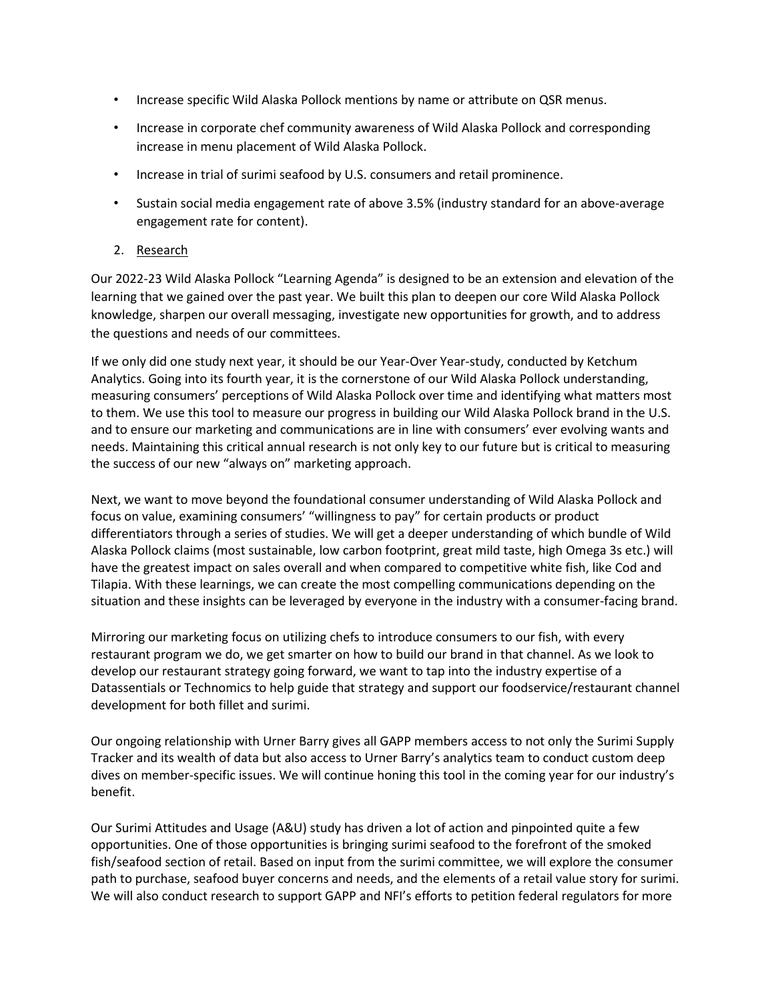- Increase specific Wild Alaska Pollock mentions by name or attribute on QSR menus.
- Increase in corporate chef community awareness of Wild Alaska Pollock and corresponding increase in menu placement of Wild Alaska Pollock.
- Increase in trial of surimi seafood by U.S. consumers and retail prominence.
- Sustain social media engagement rate of above 3.5% (industry standard for an above-average engagement rate for content).

### 2. Research

Our 2022-23 Wild Alaska Pollock "Learning Agenda" is designed to be an extension and elevation of the learning that we gained over the past year. We built this plan to deepen our core Wild Alaska Pollock knowledge, sharpen our overall messaging, investigate new opportunities for growth, and to address the questions and needs of our committees.

If we only did one study next year, it should be our Year-Over Year-study, conducted by Ketchum Analytics. Going into its fourth year, it is the cornerstone of our Wild Alaska Pollock understanding, measuring consumers' perceptions of Wild Alaska Pollock over time and identifying what matters most to them. We use this tool to measure our progress in building our Wild Alaska Pollock brand in the U.S. and to ensure our marketing and communications are in line with consumers' ever evolving wants and needs. Maintaining this critical annual research is not only key to our future but is critical to measuring the success of our new "always on" marketing approach.

Next, we want to move beyond the foundational consumer understanding of Wild Alaska Pollock and focus on value, examining consumers' "willingness to pay" for certain products or product differentiators through a series of studies. We will get a deeper understanding of which bundle of Wild Alaska Pollock claims (most sustainable, low carbon footprint, great mild taste, high Omega 3s etc.) will have the greatest impact on sales overall and when compared to competitive white fish, like Cod and Tilapia. With these learnings, we can create the most compelling communications depending on the situation and these insights can be leveraged by everyone in the industry with a consumer-facing brand.

Mirroring our marketing focus on utilizing chefs to introduce consumers to our fish, with every restaurant program we do, we get smarter on how to build our brand in that channel. As we look to develop our restaurant strategy going forward, we want to tap into the industry expertise of a Datassentials or Technomics to help guide that strategy and support our foodservice/restaurant channel development for both fillet and surimi.

Our ongoing relationship with Urner Barry gives all GAPP members access to not only the Surimi Supply Tracker and its wealth of data but also access to Urner Barry's analytics team to conduct custom deep dives on member-specific issues. We will continue honing this tool in the coming year for our industry's benefit.

Our Surimi Attitudes and Usage (A&U) study has driven a lot of action and pinpointed quite a few opportunities. One of those opportunities is bringing surimi seafood to the forefront of the smoked fish/seafood section of retail. Based on input from the surimi committee, we will explore the consumer path to purchase, seafood buyer concerns and needs, and the elements of a retail value story for surimi. We will also conduct research to support GAPP and NFI's efforts to petition federal regulators for more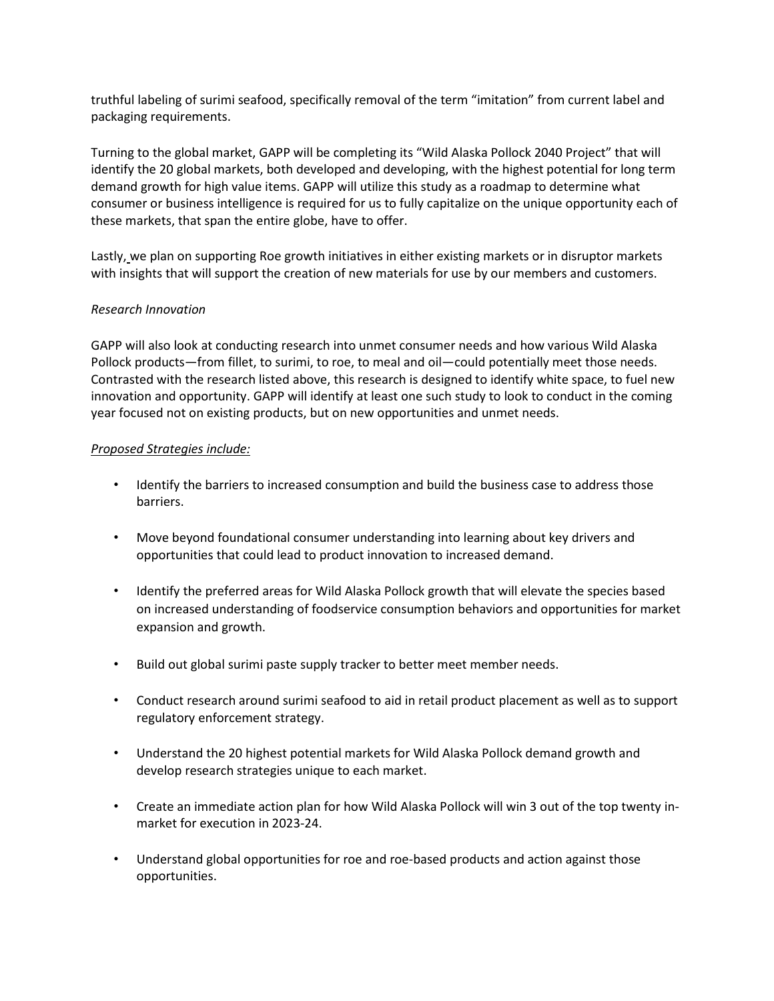truthful labeling of surimi seafood, specifically removal of the term "imitation" from current label and packaging requirements.

Turning to the global market, GAPP will be completing its "Wild Alaska Pollock 2040 Project" that will identify the 20 global markets, both developed and developing, with the highest potential for long term demand growth for high value items. GAPP will utilize this study as a roadmap to determine what consumer or business intelligence is required for us to fully capitalize on the unique opportunity each of these markets, that span the entire globe, have to offer.

Lastly, we plan on supporting Roe growth initiatives in either existing markets or in disruptor markets with insights that will support the creation of new materials for use by our members and customers.

### *Research Innovation*

GAPP will also look at conducting research into unmet consumer needs and how various Wild Alaska Pollock products—from fillet, to surimi, to roe, to meal and oil—could potentially meet those needs. Contrasted with the research listed above, this research is designed to identify white space, to fuel new innovation and opportunity. GAPP will identify at least one such study to look to conduct in the coming year focused not on existing products, but on new opportunities and unmet needs.

#### *Proposed Strategies include:*

- Identify the barriers to increased consumption and build the business case to address those barriers.
- Move beyond foundational consumer understanding into learning about key drivers and opportunities that could lead to product innovation to increased demand.
- Identify the preferred areas for Wild Alaska Pollock growth that will elevate the species based on increased understanding of foodservice consumption behaviors and opportunities for market expansion and growth.
- Build out global surimi paste supply tracker to better meet member needs.
- Conduct research around surimi seafood to aid in retail product placement as well as to support regulatory enforcement strategy.
- Understand the 20 highest potential markets for Wild Alaska Pollock demand growth and develop research strategies unique to each market.
- Create an immediate action plan for how Wild Alaska Pollock will win 3 out of the top twenty inmarket for execution in 2023-24.
- Understand global opportunities for roe and roe-based products and action against those opportunities.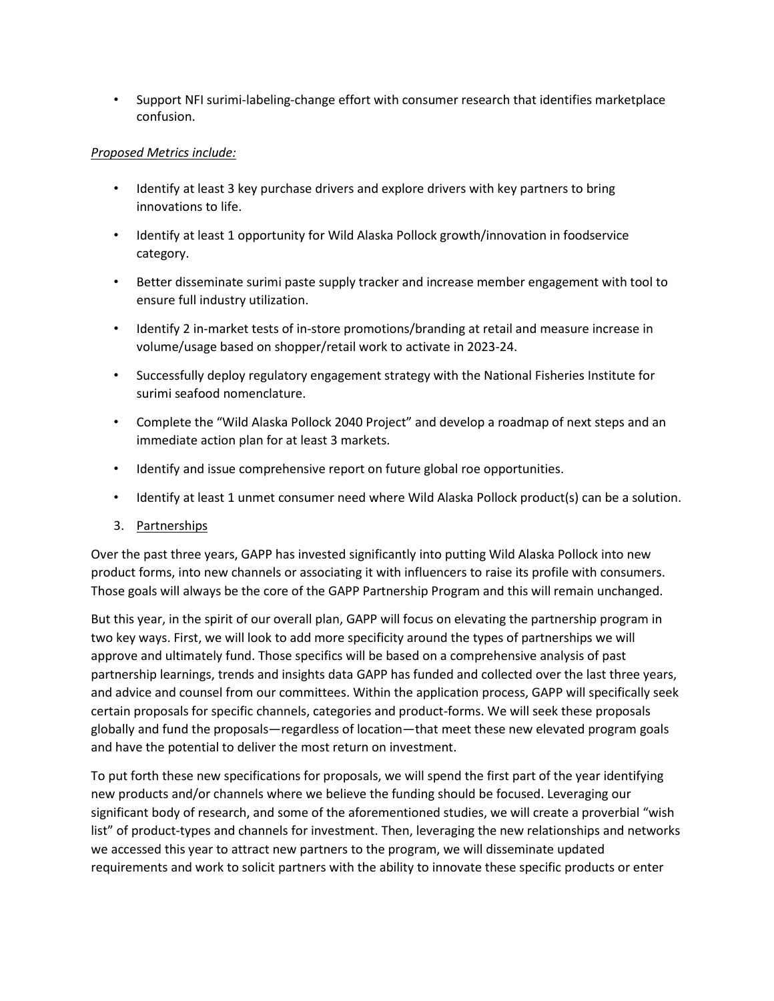• Support NFI surimi-labeling-change effort with consumer research that identifies marketplace confusion.

## *Proposed Metrics include:*

- Identify at least 3 key purchase drivers and explore drivers with key partners to bring innovations to life.
- Identify at least 1 opportunity for Wild Alaska Pollock growth/innovation in foodservice category.
- Better disseminate surimi paste supply tracker and increase member engagement with tool to ensure full industry utilization.
- Identify 2 in-market tests of in-store promotions/branding at retail and measure increase in volume/usage based on shopper/retail work to activate in 2023-24.
- Successfully deploy regulatory engagement strategy with the National Fisheries Institute for surimi seafood nomenclature.
- Complete the "Wild Alaska Pollock 2040 Project" and develop a roadmap of next steps and an immediate action plan for at least 3 markets.
- Identify and issue comprehensive report on future global roe opportunities.
- Identify at least 1 unmet consumer need where Wild Alaska Pollock product(s) can be a solution.

#### 3. Partnerships

Over the past three years, GAPP has invested significantly into putting Wild Alaska Pollock into new product forms, into new channels or associating it with influencers to raise its profile with consumers. Those goals will always be the core of the GAPP Partnership Program and this will remain unchanged.

But this year, in the spirit of our overall plan, GAPP will focus on elevating the partnership program in two key ways. First, we will look to add more specificity around the types of partnerships we will approve and ultimately fund. Those specifics will be based on a comprehensive analysis of past partnership learnings, trends and insights data GAPP has funded and collected over the last three years, and advice and counsel from our committees. Within the application process, GAPP will specifically seek certain proposals for specific channels, categories and product-forms. We will seek these proposals globally and fund the proposals—regardless of location—that meet these new elevated program goals and have the potential to deliver the most return on investment.

To put forth these new specifications for proposals, we will spend the first part of the year identifying new products and/or channels where we believe the funding should be focused. Leveraging our significant body of research, and some of the aforementioned studies, we will create a proverbial "wish list" of product-types and channels for investment. Then, leveraging the new relationships and networks we accessed this year to attract new partners to the program, we will disseminate updated requirements and work to solicit partners with the ability to innovate these specific products or enter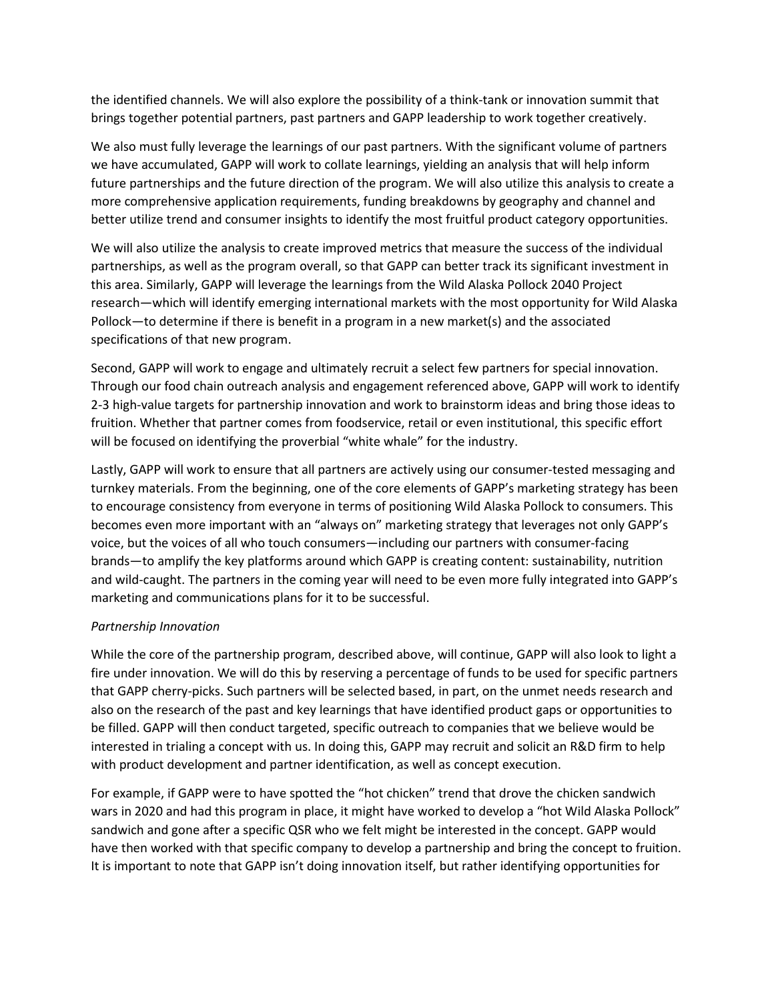the identified channels. We will also explore the possibility of a think-tank or innovation summit that brings together potential partners, past partners and GAPP leadership to work together creatively.

We also must fully leverage the learnings of our past partners. With the significant volume of partners we have accumulated, GAPP will work to collate learnings, yielding an analysis that will help inform future partnerships and the future direction of the program. We will also utilize this analysis to create a more comprehensive application requirements, funding breakdowns by geography and channel and better utilize trend and consumer insights to identify the most fruitful product category opportunities.

We will also utilize the analysis to create improved metrics that measure the success of the individual partnerships, as well as the program overall, so that GAPP can better track its significant investment in this area. Similarly, GAPP will leverage the learnings from the Wild Alaska Pollock 2040 Project research—which will identify emerging international markets with the most opportunity for Wild Alaska Pollock—to determine if there is benefit in a program in a new market(s) and the associated specifications of that new program.

Second, GAPP will work to engage and ultimately recruit a select few partners for special innovation. Through our food chain outreach analysis and engagement referenced above, GAPP will work to identify 2-3 high-value targets for partnership innovation and work to brainstorm ideas and bring those ideas to fruition. Whether that partner comes from foodservice, retail or even institutional, this specific effort will be focused on identifying the proverbial "white whale" for the industry.

Lastly, GAPP will work to ensure that all partners are actively using our consumer-tested messaging and turnkey materials. From the beginning, one of the core elements of GAPP's marketing strategy has been to encourage consistency from everyone in terms of positioning Wild Alaska Pollock to consumers. This becomes even more important with an "always on" marketing strategy that leverages not only GAPP's voice, but the voices of all who touch consumers—including our partners with consumer-facing brands—to amplify the key platforms around which GAPP is creating content: sustainability, nutrition and wild-caught. The partners in the coming year will need to be even more fully integrated into GAPP's marketing and communications plans for it to be successful.

## *Partnership Innovation*

While the core of the partnership program, described above, will continue, GAPP will also look to light a fire under innovation. We will do this by reserving a percentage of funds to be used for specific partners that GAPP cherry-picks. Such partners will be selected based, in part, on the unmet needs research and also on the research of the past and key learnings that have identified product gaps or opportunities to be filled. GAPP will then conduct targeted, specific outreach to companies that we believe would be interested in trialing a concept with us. In doing this, GAPP may recruit and solicit an R&D firm to help with product development and partner identification, as well as concept execution.

For example, if GAPP were to have spotted the "hot chicken" trend that drove the chicken sandwich wars in 2020 and had this program in place, it might have worked to develop a "hot Wild Alaska Pollock" sandwich and gone after a specific QSR who we felt might be interested in the concept. GAPP would have then worked with that specific company to develop a partnership and bring the concept to fruition. It is important to note that GAPP isn't doing innovation itself, but rather identifying opportunities for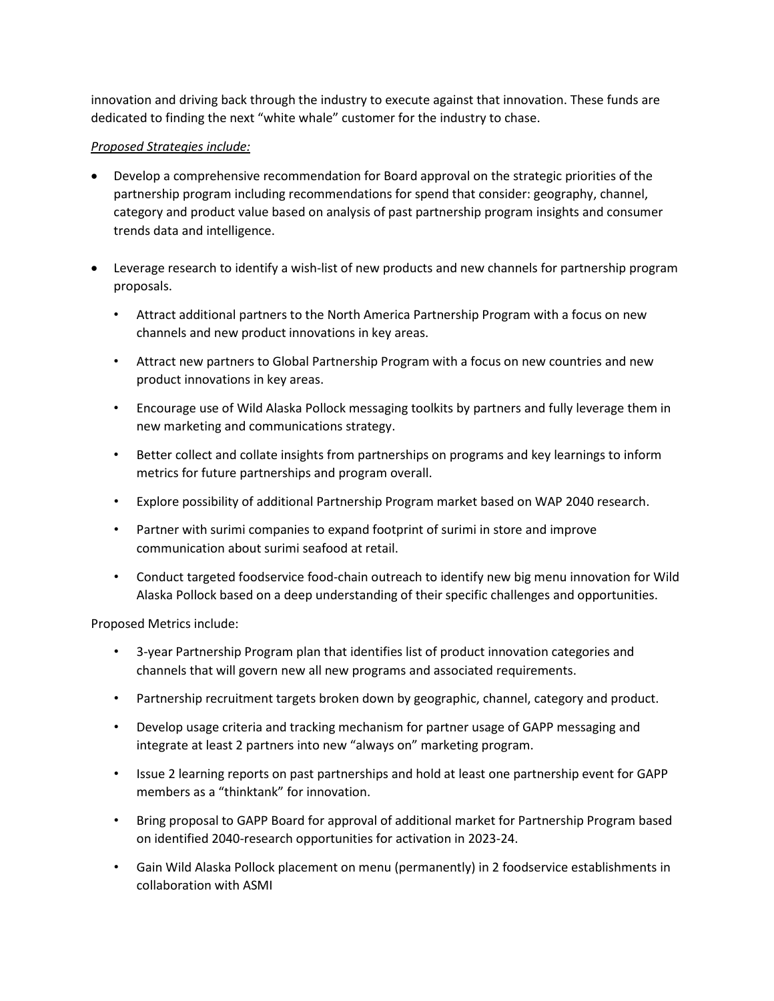innovation and driving back through the industry to execute against that innovation. These funds are dedicated to finding the next "white whale" customer for the industry to chase.

### *Proposed Strategies include:*

- Develop a comprehensive recommendation for Board approval on the strategic priorities of the partnership program including recommendations for spend that consider: geography, channel, category and product value based on analysis of past partnership program insights and consumer trends data and intelligence.
- Leverage research to identify a wish-list of new products and new channels for partnership program proposals.
	- Attract additional partners to the North America Partnership Program with a focus on new channels and new product innovations in key areas.
	- Attract new partners to Global Partnership Program with a focus on new countries and new product innovations in key areas.
	- Encourage use of Wild Alaska Pollock messaging toolkits by partners and fully leverage them in new marketing and communications strategy.
	- Better collect and collate insights from partnerships on programs and key learnings to inform metrics for future partnerships and program overall.
	- Explore possibility of additional Partnership Program market based on WAP 2040 research.
	- Partner with surimi companies to expand footprint of surimi in store and improve communication about surimi seafood at retail.
	- Conduct targeted foodservice food-chain outreach to identify new big menu innovation for Wild Alaska Pollock based on a deep understanding of their specific challenges and opportunities.

Proposed Metrics include:

- 3-year Partnership Program plan that identifies list of product innovation categories and channels that will govern new all new programs and associated requirements.
- Partnership recruitment targets broken down by geographic, channel, category and product.
- Develop usage criteria and tracking mechanism for partner usage of GAPP messaging and integrate at least 2 partners into new "always on" marketing program.
- Issue 2 learning reports on past partnerships and hold at least one partnership event for GAPP members as a "thinktank" for innovation.
- Bring proposal to GAPP Board for approval of additional market for Partnership Program based on identified 2040-research opportunities for activation in 2023-24.
- Gain Wild Alaska Pollock placement on menu (permanently) in 2 foodservice establishments in collaboration with ASMI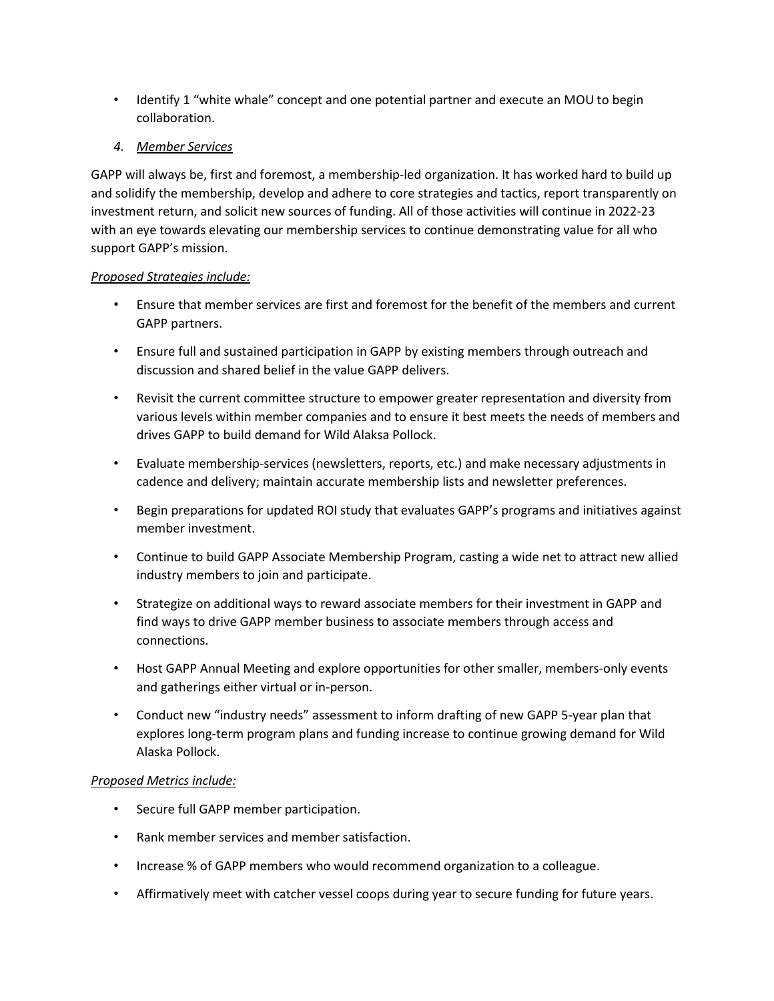• Identify 1 "white whale" concept and one potential partner and execute an MOU to begin collaboration.

## *4. Member Services*

GAPP will always be, first and foremost, a membership-led organization. It has worked hard to build up and solidify the membership, develop and adhere to core strategies and tactics, report transparently on investment return, and solicit new sources of funding. All of those activities will continue in 2022-23 with an eye towards elevating our membership services to continue demonstrating value for all who support GAPP's mission.

### *Proposed Strategies include:*

- Ensure that member services are first and foremost for the benefit of the members and current GAPP partners.
- Ensure full and sustained participation in GAPP by existing members through outreach and discussion and shared belief in the value GAPP delivers.
- Revisit the current committee structure to empower greater representation and diversity from various levels within member companies and to ensure it best meets the needs of members and drives GAPP to build demand for Wild Alaksa Pollock.
- Evaluate membership-services (newsletters, reports, etc.) and make necessary adjustments in cadence and delivery; maintain accurate membership lists and newsletter preferences.
- Begin preparations for updated ROI study that evaluates GAPP's programs and initiatives against member investment.
- Continue to build GAPP Associate Membership Program, casting a wide net to attract new allied industry members to join and participate.
- Strategize on additional ways to reward associate members for their investment in GAPP and find ways to drive GAPP member business to associate members through access and connections.
- Host GAPP Annual Meeting and explore opportunities for other smaller, members-only events and gatherings either virtual or in-person.
- Conduct new "industry needs" assessment to inform drafting of new GAPP 5-year plan that explores long-term program plans and funding increase to continue growing demand for Wild Alaska Pollock.

#### *Proposed Metrics include:*

- Secure full GAPP member participation.
- Rank member services and member satisfaction.
- Increase % of GAPP members who would recommend organization to a colleague.
- Affirmatively meet with catcher vessel coops during year to secure funding for future years.